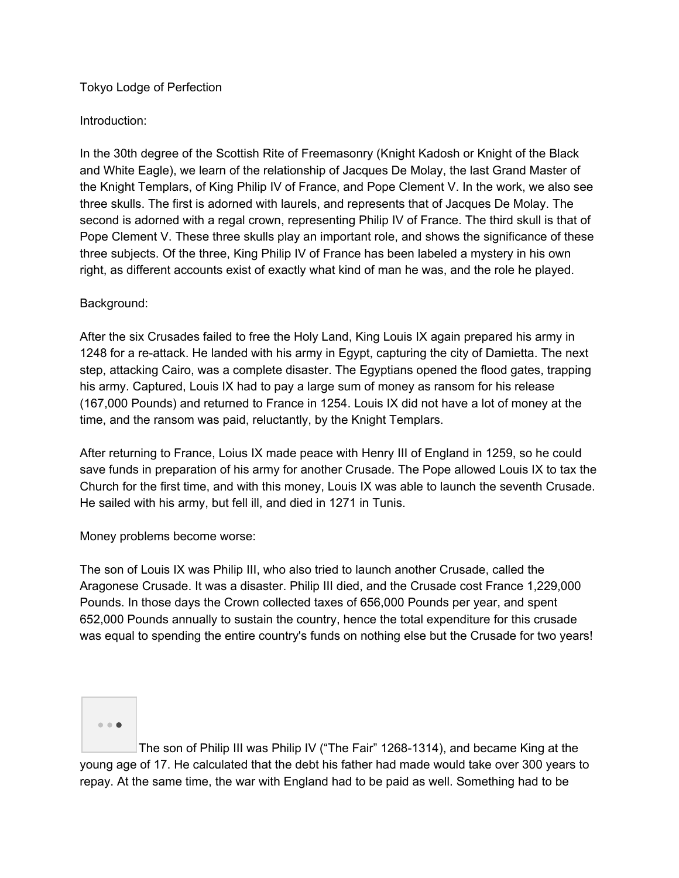# Tokyo Lodge of Perfection

# Introduction:

In the 30th degree of the Scottish Rite of Freemasonry (Knight Kadosh or Knight of the Black and White Eagle), we learn of the relationship of Jacques De Molay, the last Grand Master of the Knight Templars, of King Philip IV of France, and Pope Clement V. In the work, we also see three skulls. The first is adorned with laurels, and represents that of Jacques De Molay. The second is adorned with a regal crown, representing Philip IV of France. The third skull is that of Pope Clement V. These three skulls play an important role, and shows the significance of these three subjects. Of the three, King Philip IV of France has been labeled a mystery in his own right, as different accounts exist of exactly what kind of man he was, and the role he played.

### Background:

After the six Crusades failed to free the Holy Land, King Louis IX again prepared his army in 1248 for a re-attack. He landed with his army in Egypt, capturing the city of Damietta. The next step, attacking Cairo, was a complete disaster. The Egyptians opened the flood gates, trapping his army. Captured, Louis IX had to pay a large sum of money as ransom for his release (167,000 Pounds) and returned to France in 1254. Louis IX did not have a lot of money at the time, and the ransom was paid, reluctantly, by the Knight Templars.

After returning to France, Loius IX made peace with Henry III of England in 1259, so he could save funds in preparation of his army for another Crusade. The Pope allowed Louis IX to tax the Church for the first time, and with this money, Louis IX was able to launch the seventh Crusade. He sailed with his army, but fell ill, and died in 1271 in Tunis.

### Money problems become worse:

The son of Louis IX was Philip III, who also tried to launch another Crusade, called the Aragonese Crusade. It was a disaster. Philip III died, and the Crusade cost France 1,229,000 Pounds. In those days the Crown collected taxes of 656,000 Pounds per year, and spent 652,000 Pounds annually to sustain the country, hence the total expenditure for this crusade was equal to spending the entire country's funds on nothing else but the Crusade for two years!



The son of Philip III was Philip IV ("The Fair" 1268-1314), and became King at the young age of 17. He calculated that the debt his father had made would take over 300 years to repay. At the same time, the war with England had to be paid as well. Something had to be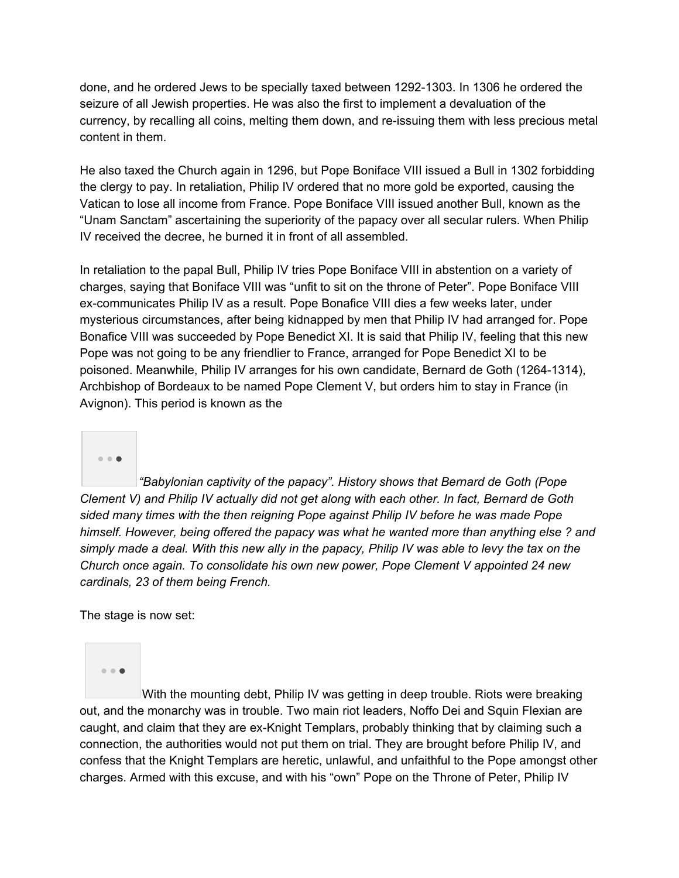done, and he ordered Jews to be specially taxed between 1292-1303. In 1306 he ordered the seizure of all Jewish properties. He was also the first to implement a devaluation of the currency, by recalling all coins, melting them down, and re-issuing them with less precious metal content in them.

He also taxed the Church again in 1296, but Pope Boniface VIII issued a Bull in 1302 forbidding the clergy to pay. In retaliation, Philip IV ordered that no more gold be exported, causing the Vatican to lose all income from France. Pope Boniface VIII issued another Bull, known as the "Unam Sanctam" ascertaining the superiority of the papacy over all secular rulers. When Philip IV received the decree, he burned it in front of all assembled.

In retaliation to the papal Bull, Philip IV tries Pope Boniface VIII in abstention on a variety of charges, saying that Boniface VIII was "unfit to sit on the throne of Peter". Pope Boniface VIII ex-communicates Philip IV as a result. Pope Bonafice VIII dies a few weeks later, under mysterious circumstances, after being kidnapped by men that Philip IV had arranged for. Pope Bonafice VIII was succeeded by Pope Benedict XI. It is said that Philip IV, feeling that this new Pope was not going to be any friendlier to France, arranged for Pope Benedict XI to be poisoned. Meanwhile, Philip IV arranges for his own candidate, Bernard de Goth (1264-1314), Archbishop of Bordeaux to be named Pope Clement V, but orders him to stay in France (in Avignon). This period is known as the



*"Babylonian captivity of the papacy". History shows that Bernard de Goth (Pope Clement V) and Philip IV actually did not get along with each other. In fact, Bernard de Goth sided many times with the then reigning Pope against Philip IV before he was made Pope himself. However, being offered the papacy was what he wanted more than anything else ? and* simply made a deal. With this new ally in the papacy, Philip IV was able to levy the tax on the *Church once again. To consolidate his own new power, Pope Clement V appointed 24 new cardinals, 23 of them being French.*

The stage is now set:

 $-0.0$ 

With the mounting debt, Philip IV was getting in deep trouble. Riots were breaking out, and the monarchy was in trouble. Two main riot leaders, Noffo Dei and Squin Flexian are caught, and claim that they are ex-Knight Templars, probably thinking that by claiming such a connection, the authorities would not put them on trial. They are brought before Philip IV, and confess that the Knight Templars are heretic, unlawful, and unfaithful to the Pope amongst other charges. Armed with this excuse, and with his "own" Pope on the Throne of Peter, Philip IV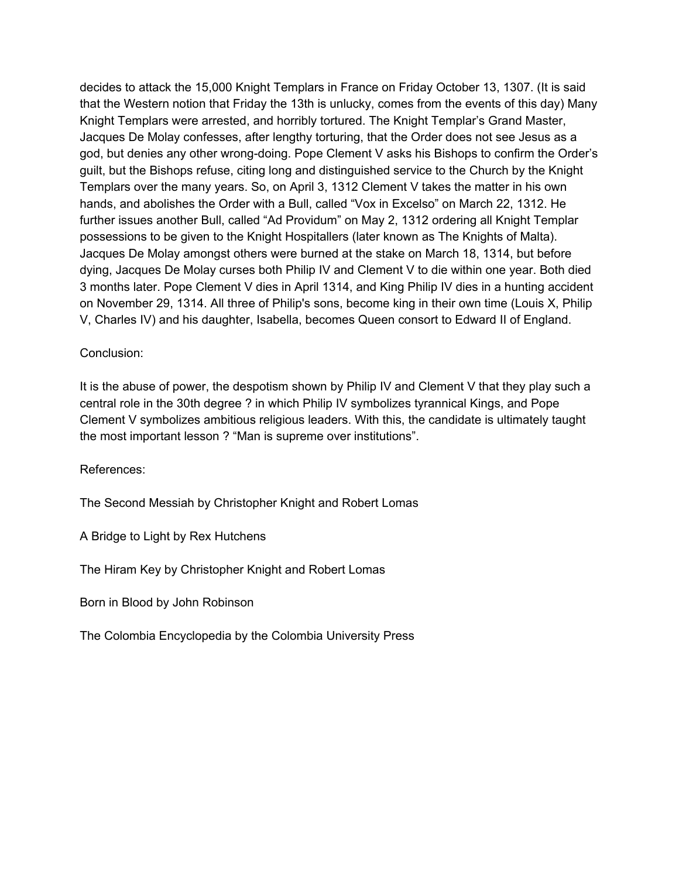decides to attack the 15,000 Knight Templars in France on Friday October 13, 1307. (It is said that the Western notion that Friday the 13th is unlucky, comes from the events of this day) Many Knight Templars were arrested, and horribly tortured. The Knight Templar's Grand Master, Jacques De Molay confesses, after lengthy torturing, that the Order does not see Jesus as a god, but denies any other wrong-doing. Pope Clement V asks his Bishops to confirm the Order's guilt, but the Bishops refuse, citing long and distinguished service to the Church by the Knight Templars over the many years. So, on April 3, 1312 Clement V takes the matter in his own hands, and abolishes the Order with a Bull, called "Vox in Excelso" on March 22, 1312. He further issues another Bull, called "Ad Providum" on May 2, 1312 ordering all Knight Templar possessions to be given to the Knight Hospitallers (later known as The Knights of Malta). Jacques De Molay amongst others were burned at the stake on March 18, 1314, but before dying, Jacques De Molay curses both Philip IV and Clement V to die within one year. Both died 3 months later. Pope Clement V dies in April 1314, and King Philip IV dies in a hunting accident on November 29, 1314. All three of Philip's sons, become king in their own time (Louis X, Philip V, Charles IV) and his daughter, Isabella, becomes Queen consort to Edward II of England.

### Conclusion:

It is the abuse of power, the despotism shown by Philip IV and Clement V that they play such a central role in the 30th degree ? in which Philip IV symbolizes tyrannical Kings, and Pope Clement V symbolizes ambitious religious leaders. With this, the candidate is ultimately taught the most important lesson ? "Man is supreme over institutions".

References:

The Second Messiah by Christopher Knight and Robert Lomas

A Bridge to Light by Rex Hutchens

The Hiram Key by Christopher Knight and Robert Lomas

Born in Blood by John Robinson

The Colombia Encyclopedia by the Colombia University Press